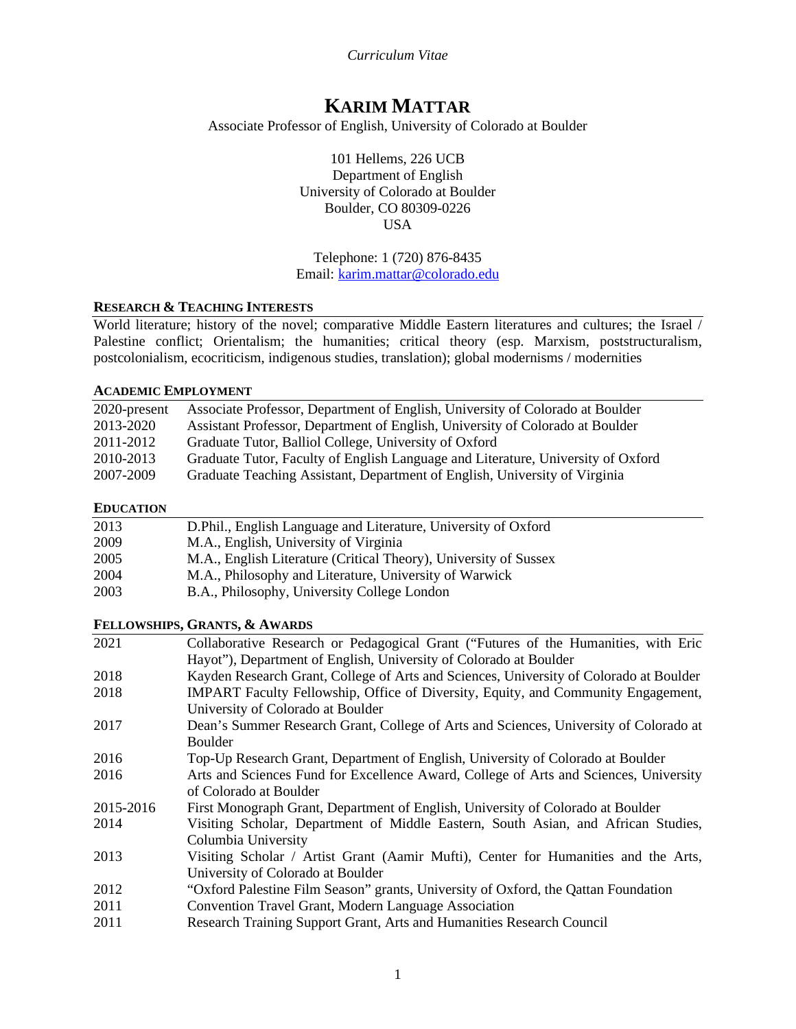*Curriculum Vitae*

# **KARIM MATTAR**

Associate Professor of English, University of Colorado at Boulder

101 Hellems, 226 UCB Department of English University of Colorado at Boulder Boulder, CO 80309-0226 **USA** 

Telephone: 1 (720) 876-8435 Email: [karim.mattar@colorado.edu](mailto:karim.mattar@colorado.edu)

#### **RESEARCH & TEACHING INTERESTS**

World literature; history of the novel; comparative Middle Eastern literatures and cultures; the Israel / Palestine conflict; Orientalism; the humanities; critical theory (esp. Marxism, poststructuralism, postcolonialism, ecocriticism, indigenous studies, translation); global modernisms / modernities

#### **ACADEMIC EMPLOYMENT**

| 2020-present | Associate Professor, Department of English, University of Colorado at Boulder    |
|--------------|----------------------------------------------------------------------------------|
| 2013-2020    | Assistant Professor, Department of English, University of Colorado at Boulder    |
| 2011-2012    | Graduate Tutor, Balliol College, University of Oxford                            |
| 2010-2013    | Graduate Tutor, Faculty of English Language and Literature, University of Oxford |
| 2007-2009    | Graduate Teaching Assistant, Department of English, University of Virginia       |
|              |                                                                                  |

#### **EDUCATION**

| 2013 | D. Phil., English Language and Literature, University of Oxford  |  |
|------|------------------------------------------------------------------|--|
| 2009 | M.A., English, University of Virginia                            |  |
| 2005 | M.A., English Literature (Critical Theory), University of Sussex |  |
| 2004 | M.A., Philosophy and Literature, University of Warwick           |  |
| 2003 | B.A., Philosophy, University College London                      |  |

### **FELLOWSHIPS, GRANTS, & AWARDS**

| 2021      | Collaborative Research or Pedagogical Grant ("Futures of the Humanities, with Eric     |
|-----------|----------------------------------------------------------------------------------------|
|           | Hayot"), Department of English, University of Colorado at Boulder                      |
| 2018      | Kayden Research Grant, College of Arts and Sciences, University of Colorado at Boulder |
| 2018      | IMPART Faculty Fellowship, Office of Diversity, Equity, and Community Engagement,      |
|           | University of Colorado at Boulder                                                      |
| 2017      | Dean's Summer Research Grant, College of Arts and Sciences, University of Colorado at  |
|           | <b>Boulder</b>                                                                         |
| 2016      | Top-Up Research Grant, Department of English, University of Colorado at Boulder        |
| 2016      | Arts and Sciences Fund for Excellence Award, College of Arts and Sciences, University  |
|           | of Colorado at Boulder                                                                 |
| 2015-2016 | First Monograph Grant, Department of English, University of Colorado at Boulder        |
| 2014      | Visiting Scholar, Department of Middle Eastern, South Asian, and African Studies,      |
|           | Columbia University                                                                    |
| 2013      | Visiting Scholar / Artist Grant (Aamir Mufti), Center for Humanities and the Arts,     |
|           | University of Colorado at Boulder                                                      |
| 2012      | "Oxford Palestine Film Season" grants, University of Oxford, the Qattan Foundation     |
| 2011      | Convention Travel Grant, Modern Language Association                                   |
| 2011      | Research Training Support Grant, Arts and Humanities Research Council                  |
|           |                                                                                        |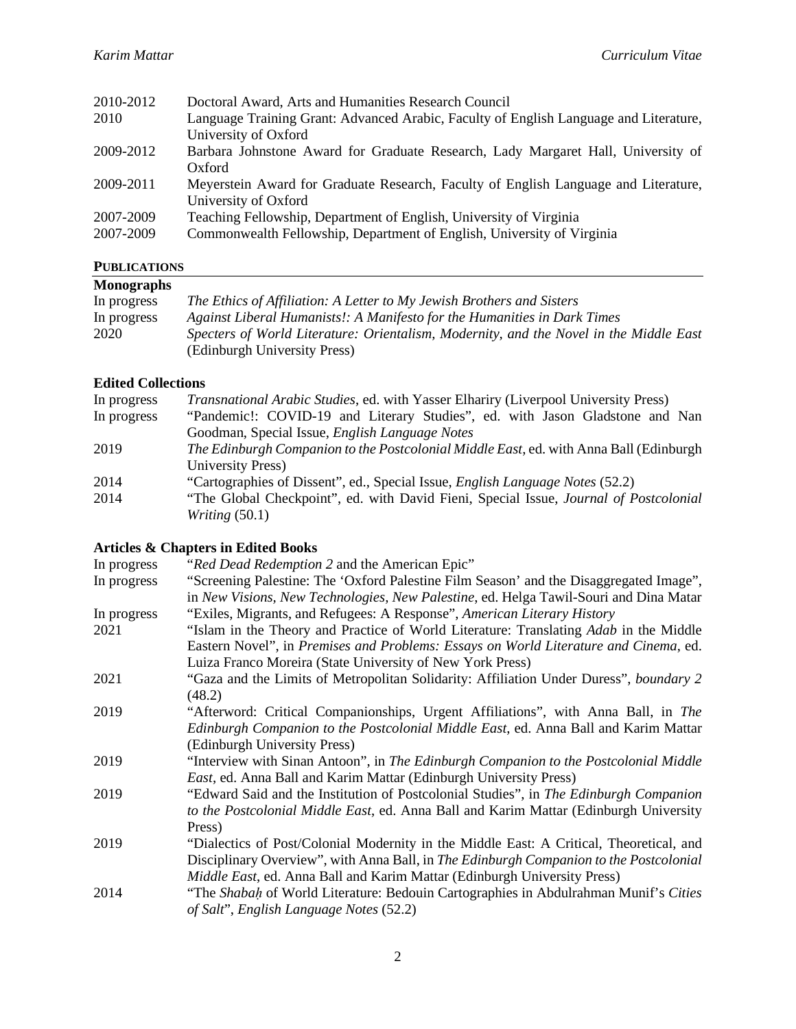| Doctoral Award, Arts and Humanities Research Council                                  |
|---------------------------------------------------------------------------------------|
| Language Training Grant: Advanced Arabic, Faculty of English Language and Literature, |
| University of Oxford                                                                  |
| Barbara Johnstone Award for Graduate Research, Lady Margaret Hall, University of      |
| Oxford                                                                                |
| Meyerstein Award for Graduate Research, Faculty of English Language and Literature,   |
| University of Oxford                                                                  |
| Teaching Fellowship, Department of English, University of Virginia                    |
| Commonwealth Fellowship, Department of English, University of Virginia                |
|                                                                                       |

# **PUBLICATIONS**

| 10.91101110110      |                                                                                                                                                                                                    |
|---------------------|----------------------------------------------------------------------------------------------------------------------------------------------------------------------------------------------------|
| <b>Monographs</b>   |                                                                                                                                                                                                    |
| In progress         | The Ethics of Affiliation: A Letter to My Jewish Brothers and Sisters                                                                                                                              |
| In progress<br>2020 | Against Liberal Humanists!: A Manifesto for the Humanities in Dark Times<br>Specters of World Literature: Orientalism, Modernity, and the Novel in the Middle East<br>(Edinburgh University Press) |

### **Edited Collections**

| <i>Transnational Arabic Studies, ed.</i> with Yasser Elhariry (Liverpool University Press)                       |
|------------------------------------------------------------------------------------------------------------------|
| "Pandemic!: COVID-19 and Literary Studies", ed. with Jason Gladstone and Nan                                     |
| Goodman, Special Issue, <i>English Language Notes</i>                                                            |
| The Edinburgh Companion to the Postcolonial Middle East, ed. with Anna Ball (Edinburgh                           |
| University Press)                                                                                                |
| "Cartographies of Dissent", ed., Special Issue, <i>English Language Notes</i> (52.2)                             |
| "The Global Checkpoint", ed. with David Fieni, Special Issue, Journal of Postcolonial<br><i>Writing</i> $(50.1)$ |
|                                                                                                                  |

### **Articles & Chapters in Edited Books**

| "Red Dead Redemption 2 and the American Epic"                                                |
|----------------------------------------------------------------------------------------------|
| "Screening Palestine: The 'Oxford Palestine Film Season' and the Disaggregated Image",       |
| in New Visions, New Technologies, New Palestine, ed. Helga Tawil-Souri and Dina Matar        |
| "Exiles, Migrants, and Refugees: A Response", American Literary History                      |
| "Islam in the Theory and Practice of World Literature: Translating <i>Adab</i> in the Middle |
| Eastern Novel", in Premises and Problems: Essays on World Literature and Cinema, ed.         |
| Luiza Franco Moreira (State University of New York Press)                                    |
| "Gaza and the Limits of Metropolitan Solidarity: Affiliation Under Duress", boundary 2       |
| (48.2)                                                                                       |
| "Afterword: Critical Companionships, Urgent Affiliations", with Anna Ball, in The            |
| Edinburgh Companion to the Postcolonial Middle East, ed. Anna Ball and Karim Mattar          |
| (Edinburgh University Press)                                                                 |
| "Interview with Sinan Antoon", in The Edinburgh Companion to the Postcolonial Middle         |
| East, ed. Anna Ball and Karim Mattar (Edinburgh University Press)                            |
| "Edward Said and the Institution of Postcolonial Studies", in The Edinburgh Companion        |
| to the Postcolonial Middle East, ed. Anna Ball and Karim Mattar (Edinburgh University        |
| Press)                                                                                       |
| "Dialectics of Post/Colonial Modernity in the Middle East: A Critical, Theoretical, and      |
| Disciplinary Overview", with Anna Ball, in The Edinburgh Companion to the Postcolonial       |
| Middle East, ed. Anna Ball and Karim Mattar (Edinburgh University Press)                     |
| "The Shabah of World Literature: Bedouin Cartographies in Abdulrahman Munif's Cities         |
| of Salt", English Language Notes (52.2)                                                      |
|                                                                                              |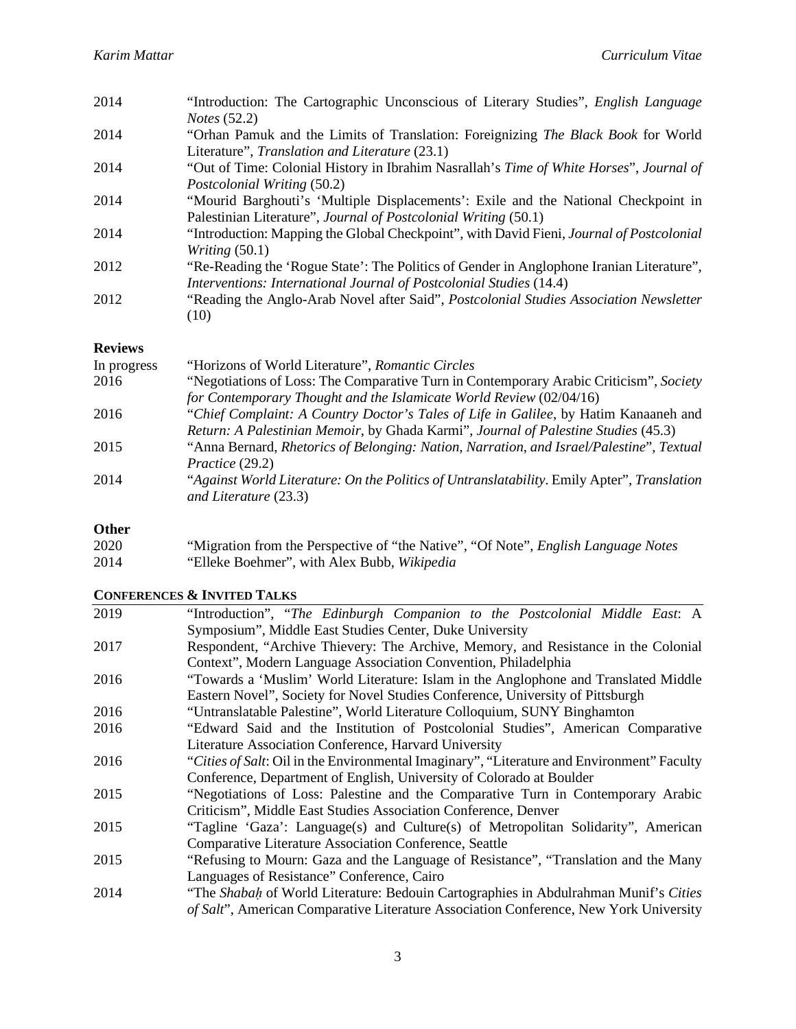| "Orhan Pamuk and the Limits of Translation: Foreignizing <i>The Black Book</i> for World |
|------------------------------------------------------------------------------------------|
|                                                                                          |
| "Out of Time: Colonial History in Ibrahim Nasrallah's Time of White Horses", Journal of  |
|                                                                                          |
| "Mourid Barghouti's 'Multiple Displacements': Exile and the National Checkpoint in       |
|                                                                                          |
| "Introduction: Mapping the Global Checkpoint", with David Fieni, Journal of Postcolonial |
|                                                                                          |
| "Re-Reading the 'Rogue State': The Politics of Gender in Anglophone Iranian Literature", |
|                                                                                          |
| "Reading the Anglo-Arab Novel after Said", Postcolonial Studies Association Newsletter   |
|                                                                                          |
|                                                                                          |

### **Reviews**

| "Horizons of World Literature", Romantic Circles                                                                    |
|---------------------------------------------------------------------------------------------------------------------|
| "Negotiations of Loss: The Comparative Turn in Contemporary Arabic Criticism", Society                              |
| for Contemporary Thought and the Islamicate World Review (02/04/16)                                                 |
| "Chief Complaint: A Country Doctor's Tales of Life in Galilee, by Hatim Kanaaneh and                                |
| Return: A Palestinian Memoir, by Ghada Karmi", Journal of Palestine Studies (45.3)                                  |
| "Anna Bernard, Rhetorics of Belonging: Nation, Narration, and Israel/Palestine", Textual                            |
| Practice (29.2)                                                                                                     |
| "Against World Literature: On the Politics of Untranslatability. Emily Apter", Translation<br>and Literature (23.3) |
|                                                                                                                     |

# **Other**

| 2020 | "Migration from the Perspective of "the Native", "Of Note", <i>English Language Notes</i> |
|------|-------------------------------------------------------------------------------------------|
| 2014 | "Elleke Boehmer", with Alex Bubb, Wikipedia                                               |

# **CONFERENCES & INVITED TALKS**

| 2019 | "Introduction", "The Edinburgh Companion to the Postcolonial Middle East: A                |
|------|--------------------------------------------------------------------------------------------|
|      | Symposium", Middle East Studies Center, Duke University                                    |
| 2017 | Respondent, "Archive Thievery: The Archive, Memory, and Resistance in the Colonial         |
|      | Context", Modern Language Association Convention, Philadelphia                             |
| 2016 | "Towards a 'Muslim' World Literature: Islam in the Anglophone and Translated Middle        |
|      | Eastern Novel", Society for Novel Studies Conference, University of Pittsburgh             |
| 2016 | "Untranslatable Palestine", World Literature Colloquium, SUNY Binghamton                   |
| 2016 | "Edward Said and the Institution of Postcolonial Studies", American Comparative            |
|      | Literature Association Conference, Harvard University                                      |
| 2016 | "Cities of Salt: Oil in the Environmental Imaginary", "Literature and Environment" Faculty |
|      | Conference, Department of English, University of Colorado at Boulder                       |
| 2015 | "Negotiations of Loss: Palestine and the Comparative Turn in Contemporary Arabic           |
|      | Criticism", Middle East Studies Association Conference, Denver                             |
| 2015 | "Tagline 'Gaza': Language(s) and Culture(s) of Metropolitan Solidarity", American          |
|      | Comparative Literature Association Conference, Seattle                                     |
| 2015 | "Refusing to Mourn: Gaza and the Language of Resistance", "Translation and the Many        |
|      | Languages of Resistance" Conference, Cairo                                                 |
| 2014 | "The Shabah of World Literature: Bedouin Cartographies in Abdulrahman Munif's Cities       |
|      | of Salt", American Comparative Literature Association Conference, New York University      |
|      |                                                                                            |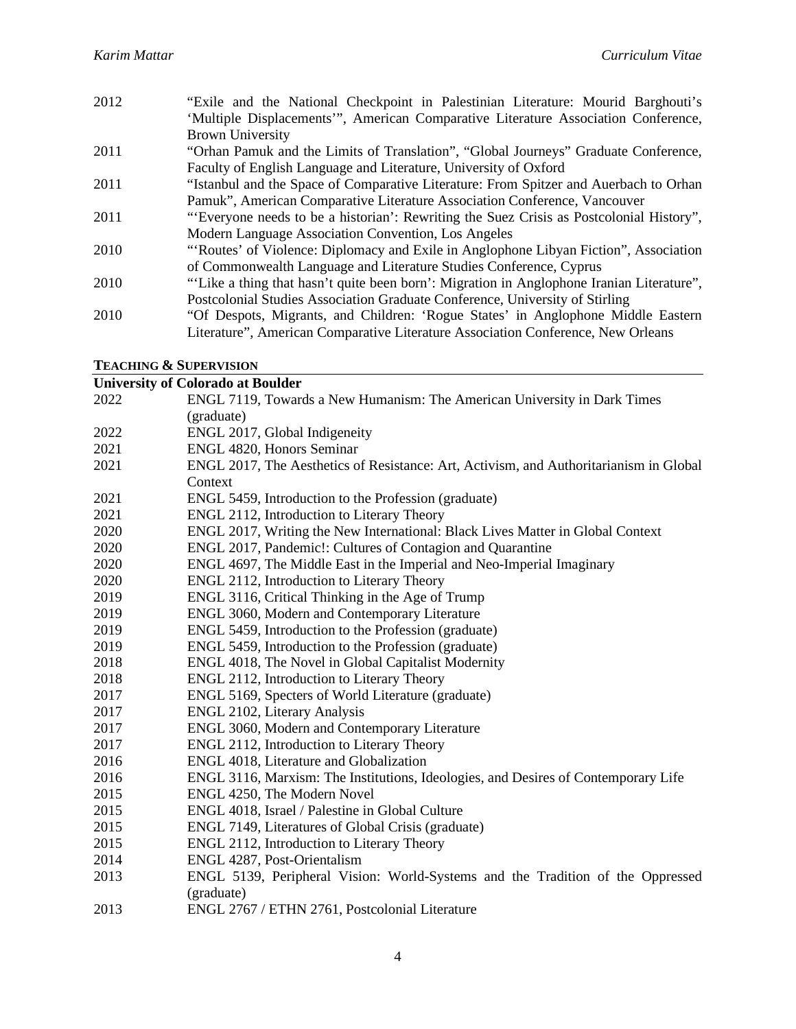- "Exile and the National Checkpoint in Palestinian Literature: Mourid Barghouti's 'Multiple Displacements'", American Comparative Literature Association Conference, Brown University "Orhan Pamuk and the Limits of Translation", "Global Journeys" Graduate Conference,
- Faculty of English Language and Literature, University of Oxford
- "Istanbul and the Space of Comparative Literature: From Spitzer and Auerbach to Orhan Pamuk", American Comparative Literature Association Conference, Vancouver
- "'Everyone needs to be a historian': Rewriting the Suez Crisis as Postcolonial History", Modern Language Association Convention, Los Angeles
- "'Routes' of Violence: Diplomacy and Exile in Anglophone Libyan Fiction", Association of Commonwealth Language and Literature Studies Conference, Cyprus
- "'Like a thing that hasn't quite been born': Migration in Anglophone Iranian Literature", Postcolonial Studies Association Graduate Conference, University of Stirling
- "Of Despots, Migrants, and Children: 'Rogue States' in Anglophone Middle Eastern Literature", American Comparative Literature Association Conference, New Orleans

#### **TEACHING & SUPERVISION**

|       | <b>University of Colorado at Boulder</b>                                               |
|-------|----------------------------------------------------------------------------------------|
| 2022  | ENGL 7119, Towards a New Humanism: The American University in Dark Times               |
|       | (graduate)                                                                             |
| 2022  | ENGL 2017, Global Indigeneity                                                          |
| 2021  | ENGL 4820, Honors Seminar                                                              |
| 2021  | ENGL 2017, The Aesthetics of Resistance: Art, Activism, and Authoritarianism in Global |
|       | Context                                                                                |
| 2021  | ENGL 5459, Introduction to the Profession (graduate)                                   |
| 2021  | ENGL 2112, Introduction to Literary Theory                                             |
| 2020  | ENGL 2017, Writing the New International: Black Lives Matter in Global Context         |
| 2020  | ENGL 2017, Pandemic!: Cultures of Contagion and Quarantine                             |
| 2020  | ENGL 4697, The Middle East in the Imperial and Neo-Imperial Imaginary                  |
| 2020  | ENGL 2112, Introduction to Literary Theory                                             |
| 2019  | ENGL 3116, Critical Thinking in the Age of Trump                                       |
| 2019  | ENGL 3060, Modern and Contemporary Literature                                          |
| 2019  | ENGL 5459, Introduction to the Profession (graduate)                                   |
| 2019  | ENGL 5459, Introduction to the Profession (graduate)                                   |
| 2018  | ENGL 4018, The Novel in Global Capitalist Modernity                                    |
| 2018  | ENGL 2112, Introduction to Literary Theory                                             |
| 2017  | ENGL 5169, Specters of World Literature (graduate)                                     |
| 2017  | ENGL 2102, Literary Analysis                                                           |
| 2017  | ENGL 3060, Modern and Contemporary Literature                                          |
| 2017  | ENGL 2112, Introduction to Literary Theory                                             |
| 2016  | ENGL 4018, Literature and Globalization                                                |
| 2016  | ENGL 3116, Marxism: The Institutions, Ideologies, and Desires of Contemporary Life     |
| 2015  | ENGL 4250, The Modern Novel                                                            |
| 2015  | ENGL 4018, Israel / Palestine in Global Culture                                        |
| 2015  | ENGL 7149, Literatures of Global Crisis (graduate)                                     |
| 2015  | ENGL 2112, Introduction to Literary Theory                                             |
| 2014  | ENGL 4287, Post-Orientalism                                                            |
| 2013  | ENGL 5139, Peripheral Vision: World-Systems and the Tradition of the Oppressed         |
|       | (graduate)                                                                             |
| 0.012 | $PMCI$ $QZZZ$ ( $PPTINI$ $QZZ1$ $D$ $I$ $I$ $I$ $I$ $I$                                |

ENGL 2767 / ETHN 2761, Postcolonial Literature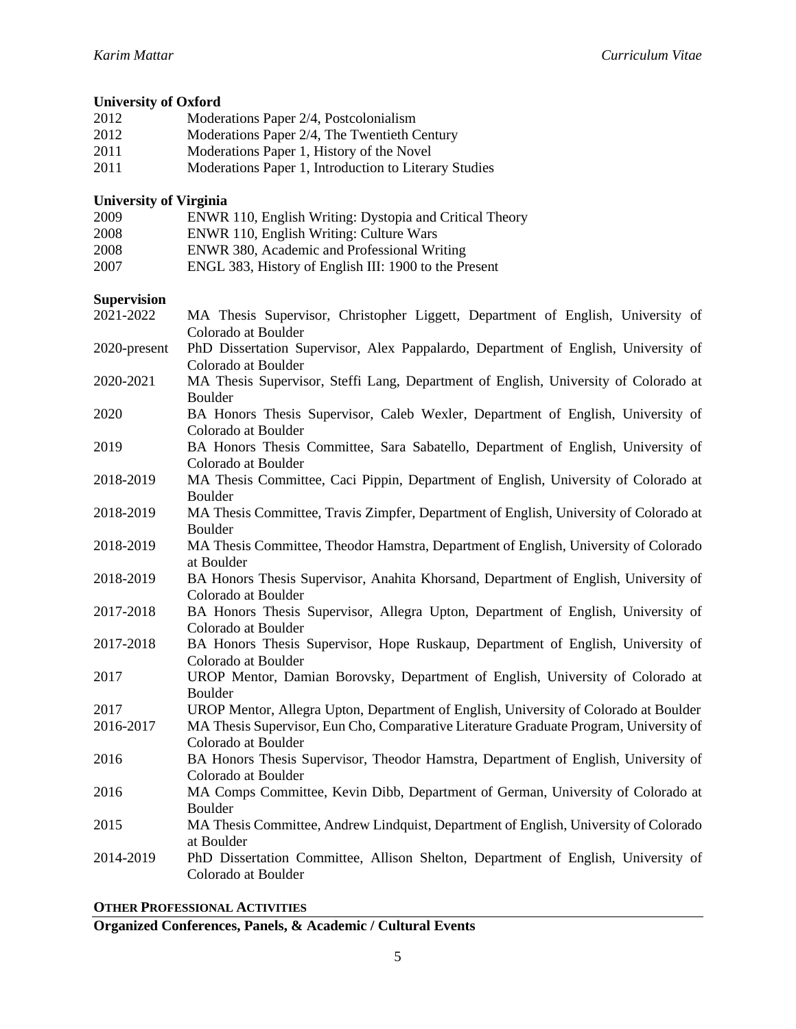# **University of Oxford**

| 2012 | Moderations Paper 2/4, Postcolonialism                |
|------|-------------------------------------------------------|
| 2012 | Moderations Paper 2/4, The Twentieth Century          |
| 2011 | Moderations Paper 1, History of the Novel             |
| 2011 | Moderations Paper 1, Introduction to Literary Studies |

### **University of Virginia**

| 2009 | ENWR 110, English Writing: Dystopia and Critical Theory |
|------|---------------------------------------------------------|
| 2008 | ENWR 110, English Writing: Culture Wars                 |
| 2008 | ENWR 380, Academic and Professional Writing             |
| 2007 | ENGL 383, History of English III: 1900 to the Present   |

### **Supervision**

| 2021-2022    | MA Thesis Supervisor, Christopher Liggett, Department of English, University of<br>Colorado at Boulder       |
|--------------|--------------------------------------------------------------------------------------------------------------|
| 2020-present | PhD Dissertation Supervisor, Alex Pappalardo, Department of English, University of                           |
|              | Colorado at Boulder                                                                                          |
| 2020-2021    | MA Thesis Supervisor, Steffi Lang, Department of English, University of Colorado at<br>Boulder               |
| 2020         | BA Honors Thesis Supervisor, Caleb Wexler, Department of English, University of<br>Colorado at Boulder       |
| 2019         | BA Honors Thesis Committee, Sara Sabatello, Department of English, University of<br>Colorado at Boulder      |
| 2018-2019    | MA Thesis Committee, Caci Pippin, Department of English, University of Colorado at<br>Boulder                |
| 2018-2019    | MA Thesis Committee, Travis Zimpfer, Department of English, University of Colorado at<br>Boulder             |
| 2018-2019    | MA Thesis Committee, Theodor Hamstra, Department of English, University of Colorado<br>at Boulder            |
| 2018-2019    | BA Honors Thesis Supervisor, Anahita Khorsand, Department of English, University of<br>Colorado at Boulder   |
| 2017-2018    | BA Honors Thesis Supervisor, Allegra Upton, Department of English, University of<br>Colorado at Boulder      |
| 2017-2018    | BA Honors Thesis Supervisor, Hope Ruskaup, Department of English, University of<br>Colorado at Boulder       |
| 2017         | UROP Mentor, Damian Borovsky, Department of English, University of Colorado at<br>Boulder                    |
| 2017         | UROP Mentor, Allegra Upton, Department of English, University of Colorado at Boulder                         |
| 2016-2017    | MA Thesis Supervisor, Eun Cho, Comparative Literature Graduate Program, University of<br>Colorado at Boulder |
| 2016         | BA Honors Thesis Supervisor, Theodor Hamstra, Department of English, University of<br>Colorado at Boulder    |
| 2016         | MA Comps Committee, Kevin Dibb, Department of German, University of Colorado at<br>Boulder                   |
| 2015         | MA Thesis Committee, Andrew Lindquist, Department of English, University of Colorado<br>at Boulder           |
| 2014-2019    | PhD Dissertation Committee, Allison Shelton, Department of English, University of<br>Colorado at Boulder     |

### **OTHER PROFESSIONAL ACTIVITIES**

**Organized Conferences, Panels, & Academic / Cultural Events**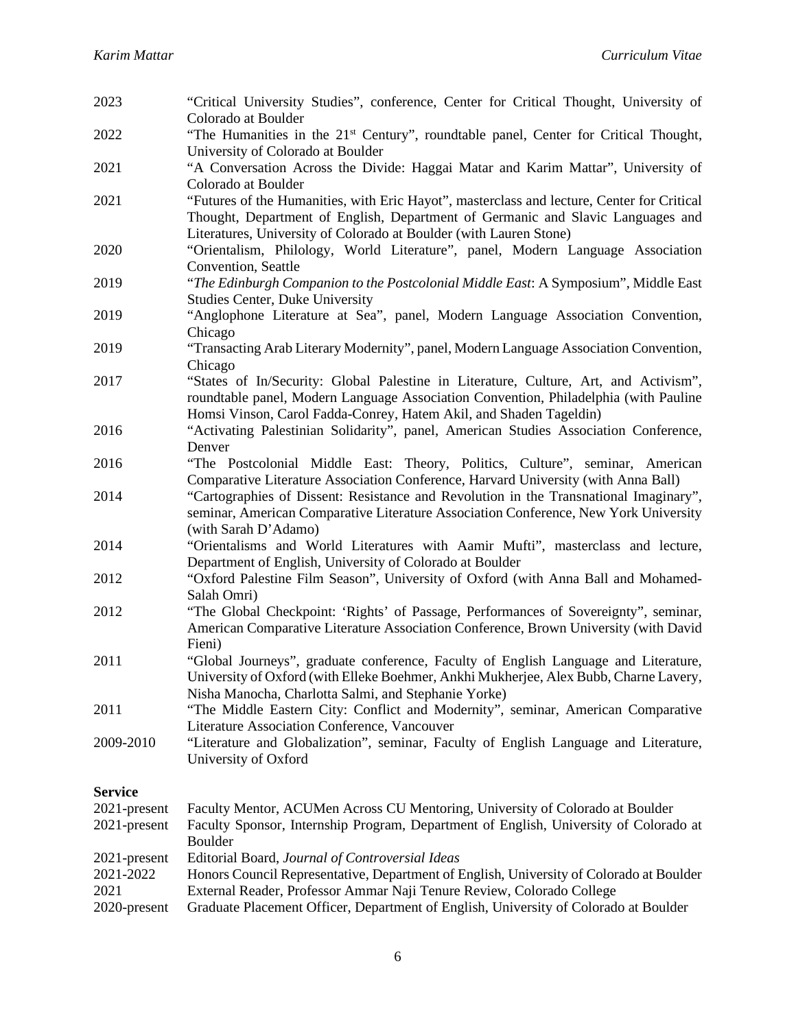| 2023                                              | "Critical University Studies", conference, Center for Critical Thought, University of<br>Colorado at Boulder                                                                                                                                                                                                |
|---------------------------------------------------|-------------------------------------------------------------------------------------------------------------------------------------------------------------------------------------------------------------------------------------------------------------------------------------------------------------|
| 2022                                              | "The Humanities in the 21 <sup>st</sup> Century", roundtable panel, Center for Critical Thought,<br>University of Colorado at Boulder                                                                                                                                                                       |
| 2021                                              | "A Conversation Across the Divide: Haggai Matar and Karim Mattar", University of                                                                                                                                                                                                                            |
| 2021                                              | Colorado at Boulder<br>"Futures of the Humanities, with Eric Hayot", masterclass and lecture, Center for Critical<br>Thought, Department of English, Department of Germanic and Slavic Languages and<br>Literatures, University of Colorado at Boulder (with Lauren Stone)                                  |
| 2020                                              | "Orientalism, Philology, World Literature", panel, Modern Language Association<br>Convention, Seattle                                                                                                                                                                                                       |
| 2019                                              | "The Edinburgh Companion to the Postcolonial Middle East: A Symposium", Middle East<br><b>Studies Center, Duke University</b>                                                                                                                                                                               |
| 2019                                              | "Anglophone Literature at Sea", panel, Modern Language Association Convention,<br>Chicago                                                                                                                                                                                                                   |
| 2019                                              | "Transacting Arab Literary Modernity", panel, Modern Language Association Convention,<br>Chicago                                                                                                                                                                                                            |
| 2017                                              | "States of In/Security: Global Palestine in Literature, Culture, Art, and Activism",<br>roundtable panel, Modern Language Association Convention, Philadelphia (with Pauline<br>Homsi Vinson, Carol Fadda-Conrey, Hatem Akil, and Shaden Tageldin)                                                          |
| 2016                                              | "Activating Palestinian Solidarity", panel, American Studies Association Conference,<br>Denver                                                                                                                                                                                                              |
| 2016                                              | "The Postcolonial Middle East: Theory, Politics, Culture", seminar, American<br>Comparative Literature Association Conference, Harvard University (with Anna Ball)                                                                                                                                          |
| 2014                                              | "Cartographies of Dissent: Resistance and Revolution in the Transnational Imaginary",<br>seminar, American Comparative Literature Association Conference, New York University<br>(with Sarah D'Adamo)                                                                                                       |
| 2014                                              | "Orientalisms and World Literatures with Aamir Mufti", masterclass and lecture,<br>Department of English, University of Colorado at Boulder                                                                                                                                                                 |
| 2012                                              | "Oxford Palestine Film Season", University of Oxford (with Anna Ball and Mohamed-<br>Salah Omri)                                                                                                                                                                                                            |
| 2012                                              | "The Global Checkpoint: 'Rights' of Passage, Performances of Sovereignty", seminar,<br>American Comparative Literature Association Conference, Brown University (with David<br>Fieni)                                                                                                                       |
| 2011                                              | "Global Journeys", graduate conference, Faculty of English Language and Literature,<br>University of Oxford (with Elleke Boehmer, Ankhi Mukherjee, Alex Bubb, Charne Lavery,<br>Nisha Manocha, Charlotta Salmi, and Stephanie Yorke)                                                                        |
| 2011                                              | "The Middle Eastern City: Conflict and Modernity", seminar, American Comparative<br>Literature Association Conference, Vancouver                                                                                                                                                                            |
| 2009-2010                                         | "Literature and Globalization", seminar, Faculty of English Language and Literature,<br>University of Oxford                                                                                                                                                                                                |
| <b>Service</b>                                    |                                                                                                                                                                                                                                                                                                             |
| 2021-present<br>2021-present                      | Faculty Mentor, ACUMen Across CU Mentoring, University of Colorado at Boulder<br>Faculty Sponsor, Internship Program, Department of English, University of Colorado at<br>Boulder                                                                                                                           |
| 2021-present<br>2021-2022<br>2021<br>2020-present | Editorial Board, Journal of Controversial Ideas<br>Honors Council Representative, Department of English, University of Colorado at Boulder<br>External Reader, Professor Ammar Naji Tenure Review, Colorado College<br>Graduate Placement Officer, Department of English, University of Colorado at Boulder |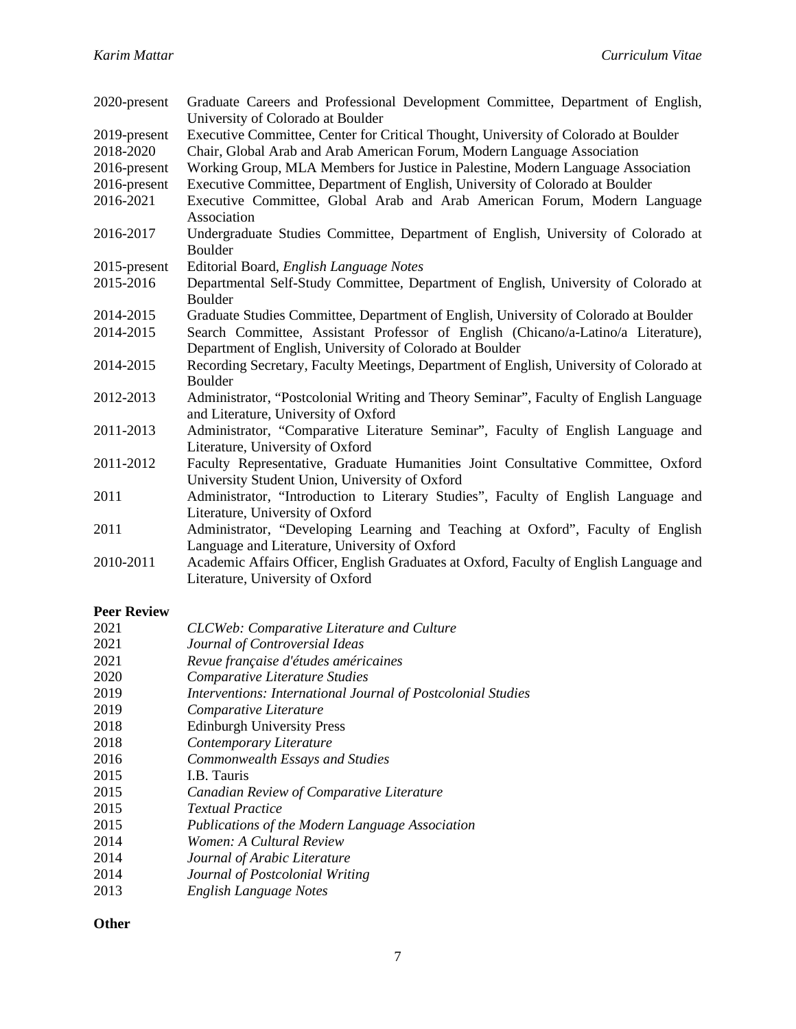| 2020-present              | Graduate Careers and Professional Development Committee, Department of English,<br>University of Colorado at Boulder                                           |
|---------------------------|----------------------------------------------------------------------------------------------------------------------------------------------------------------|
| 2019-present<br>2018-2020 | Executive Committee, Center for Critical Thought, University of Colorado at Boulder<br>Chair, Global Arab and Arab American Forum, Modern Language Association |
| 2016-present              | Working Group, MLA Members for Justice in Palestine, Modern Language Association                                                                               |
| 2016-present              | Executive Committee, Department of English, University of Colorado at Boulder                                                                                  |
| 2016-2021                 | Executive Committee, Global Arab and Arab American Forum, Modern Language<br>Association                                                                       |
| 2016-2017                 | Undergraduate Studies Committee, Department of English, University of Colorado at<br>Boulder                                                                   |
| 2015-present              | Editorial Board, English Language Notes                                                                                                                        |
| 2015-2016                 | Departmental Self-Study Committee, Department of English, University of Colorado at<br>Boulder                                                                 |
| 2014-2015                 | Graduate Studies Committee, Department of English, University of Colorado at Boulder                                                                           |
| 2014-2015                 | Search Committee, Assistant Professor of English (Chicano/a-Latino/a Literature),<br>Department of English, University of Colorado at Boulder                  |
| 2014-2015                 | Recording Secretary, Faculty Meetings, Department of English, University of Colorado at<br>Boulder                                                             |
| 2012-2013                 | Administrator, "Postcolonial Writing and Theory Seminar", Faculty of English Language<br>and Literature, University of Oxford                                  |
| 2011-2013                 | Administrator, "Comparative Literature Seminar", Faculty of English Language and<br>Literature, University of Oxford                                           |
| 2011-2012                 | Faculty Representative, Graduate Humanities Joint Consultative Committee, Oxford<br>University Student Union, University of Oxford                             |
| 2011                      | Administrator, "Introduction to Literary Studies", Faculty of English Language and                                                                             |
|                           | Literature, University of Oxford                                                                                                                               |
| 2011                      | Administrator, "Developing Learning and Teaching at Oxford", Faculty of English<br>Language and Literature, University of Oxford                               |
| 2010-2011                 | Academic Affairs Officer, English Graduates at Oxford, Faculty of English Language and                                                                         |
|                           | Literature, University of Oxford                                                                                                                               |

# **Peer Review**

| 2021 | CLCWeb: Comparative Literature and Culture                   |
|------|--------------------------------------------------------------|
| 2021 | Journal of Controversial Ideas                               |
| 2021 | Revue française d'études américaines                         |
| 2020 | Comparative Literature Studies                               |
| 2019 | Interventions: International Journal of Postcolonial Studies |
| 2019 | Comparative Literature                                       |
| 2018 | <b>Edinburgh University Press</b>                            |
| 2018 | Contemporary Literature                                      |
| 2016 | Commonwealth Essays and Studies                              |
| 2015 | I.B. Tauris                                                  |
| 2015 | Canadian Review of Comparative Literature                    |
| 2015 | <b>Textual Practice</b>                                      |
| 2015 | Publications of the Modern Language Association              |
| 2014 | Women: A Cultural Review                                     |
| 2014 | Journal of Arabic Literature                                 |
|      |                                                              |

- 2014 *Journal of Postcolonial Writing*
- 2013 *English Language Notes*

#### **Other**